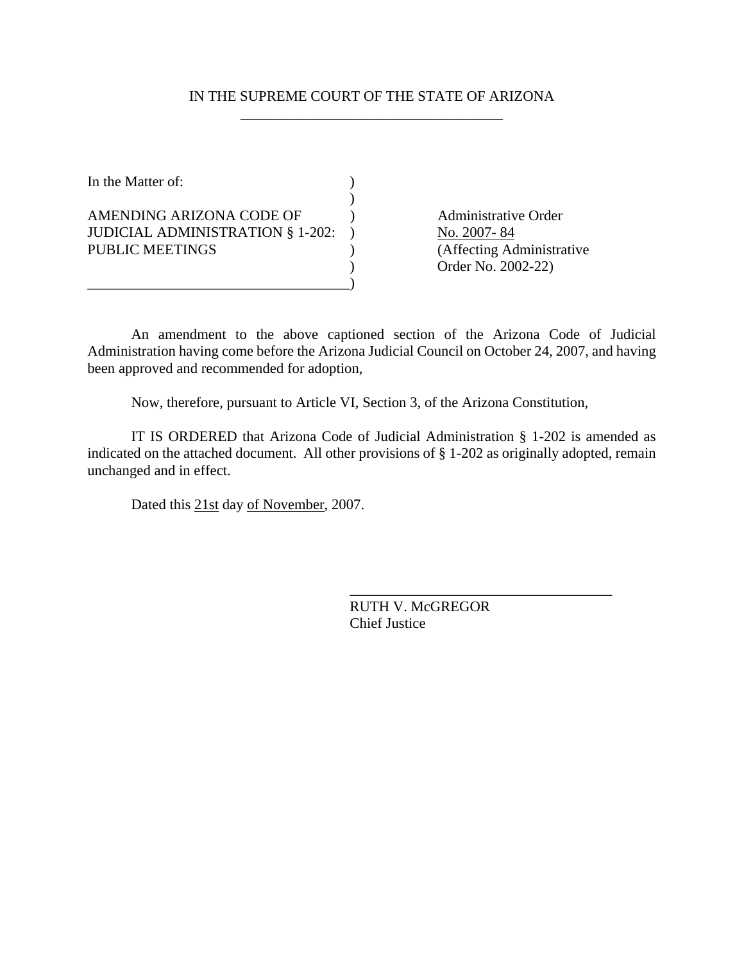## IN THE SUPREME COURT OF THE STATE OF ARIZONA \_\_\_\_\_\_\_\_\_\_\_\_\_\_\_\_\_\_\_\_\_\_\_\_\_\_\_\_\_\_\_\_\_\_\_\_

In the Matter of:  $\qquad \qquad$  )  $)$ AMENDING ARIZONA CODE OF (a) Administrative Order JUDICIAL ADMINISTRATION § 1-202: ) No. 2007-84 PUBLIC MEETINGS (Affecting Administrative

\_\_\_\_\_\_\_\_\_\_\_\_\_\_\_\_\_\_\_\_\_\_\_\_\_\_\_\_\_\_\_\_\_\_\_\_)

) Order No. 2002-22)

An amendment to the above captioned section of the Arizona Code of Judicial Administration having come before the Arizona Judicial Council on October 24, 2007, and having been approved and recommended for adoption,

Now, therefore, pursuant to Article VI, Section 3, of the Arizona Constitution,

IT IS ORDERED that Arizona Code of Judicial Administration § 1-202 is amended as indicated on the attached document. All other provisions of § 1-202 as originally adopted, remain unchanged and in effect.

Dated this 21st day of November, 2007.

RUTH V. McGREGOR Chief Justice

\_\_\_\_\_\_\_\_\_\_\_\_\_\_\_\_\_\_\_\_\_\_\_\_\_\_\_\_\_\_\_\_\_\_\_\_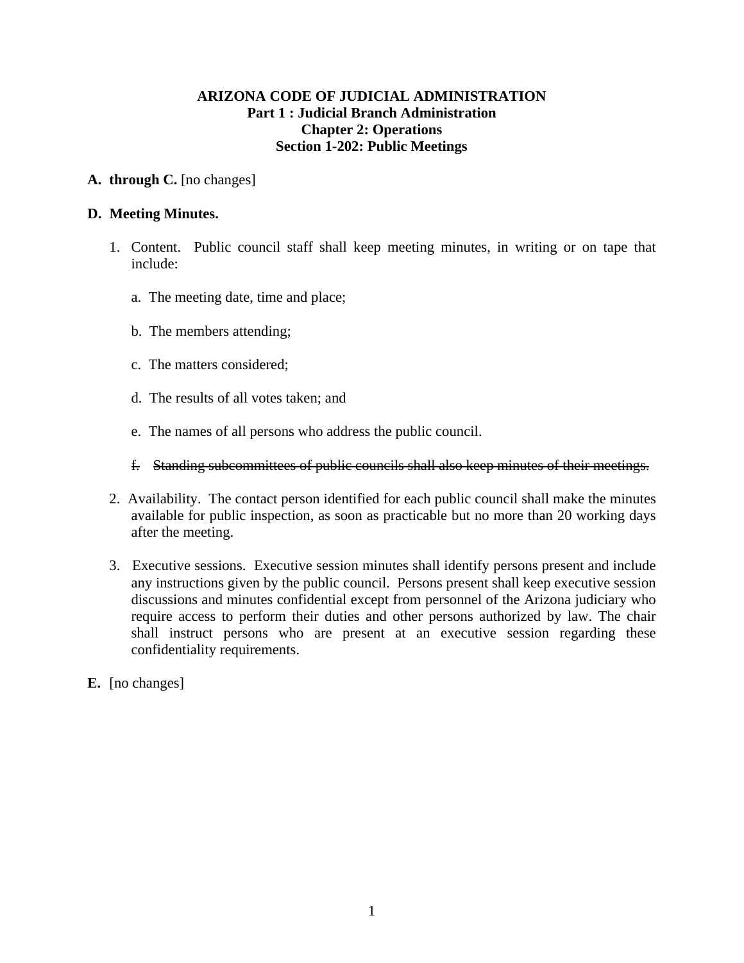## **ARIZONA CODE OF JUDICIAL ADMINISTRATION Part 1 : Judicial Branch Administration Chapter 2: Operations Section 1-202: Public Meetings**

#### **A. through C.** [no changes]

#### **D. Meeting Minutes.**

- 1. Content. Public council staff shall keep meeting minutes, in writing or on tape that include:
	- a. The meeting date, time and place;
	- b. The members attending;
	- c. The matters considered;
	- d. The results of all votes taken; and
	- e. The names of all persons who address the public council.
	- f. Standing subcommittees of public councils shall also keep minutes of their meetings.
- 2. Availability. The contact person identified for each public council shall make the minutes available for public inspection, as soon as practicable but no more than 20 working days after the meeting.
- 3. Executive sessions. Executive session minutes shall identify persons present and include any instructions given by the public council. Persons present shall keep executive session discussions and minutes confidential except from personnel of the Arizona judiciary who require access to perform their duties and other persons authorized by law. The chair shall instruct persons who are present at an executive session regarding these confidentiality requirements.
- **E.** [no changes]